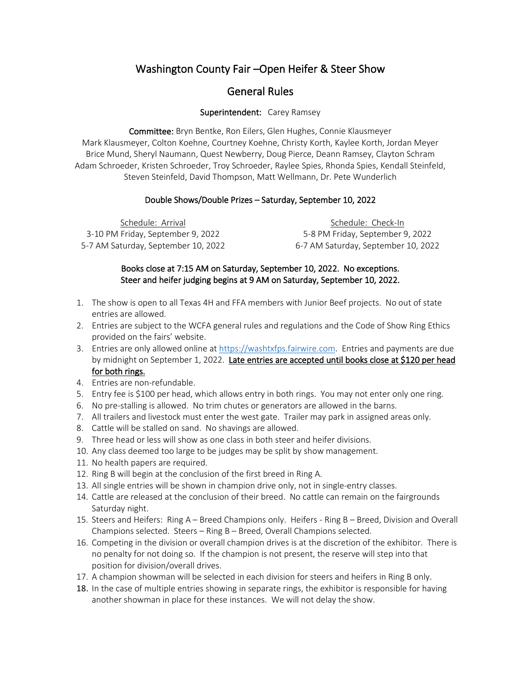# Washington County Fair –Open Heifer & Steer Show

# General Rules

### Superintendent: Carey Ramsey

Committee: Bryn Bentke, Ron Eilers, Glen Hughes, Connie Klausmeyer Mark Klausmeyer, Colton Koehne, Courtney Koehne, Christy Korth, Kaylee Korth, Jordan Meyer Brice Mund, Sheryl Naumann, Quest Newberry, Doug Pierce, Deann Ramsey, Clayton Schram Adam Schroeder, Kristen Schroeder, Troy Schroeder, Raylee Spies, Rhonda Spies, Kendall Steinfeld, Steven Steinfeld, David Thompson, Matt Wellmann, Dr. Pete Wunderlich

#### Double Shows/Double Prizes – Saturday, September 10, 2022

Schedule: Arrival 3-10 PM Friday, September 9, 2022 5-7 AM Saturday, September 10, 2022

Schedule: Check-In 5-8 PM Friday, September 9, 2022 6-7 AM Saturday, September 10, 2022

### Books close at 7:15 AM on Saturday, September 10, 2022. No exceptions. Steer and heifer judging begins at 9 AM on Saturday, September 10, 2022.

- 1. The show is open to all Texas 4H and FFA members with Junior Beef projects. No out of state entries are allowed.
- 2. Entries are subject to the WCFA general rules and regulations and the Code of Show Ring Ethics provided on the fairs' website.
- 3. Entries are only allowed online a[t https://washtxfps.fairwire.com.](https://washtxfps.fairwire.com/) Entries and payments are due by midnight on September 1, 2022. Late entries are accepted until books close at \$120 per head for both rings.
- 4. Entries are non-refundable.
- 5. Entry fee is \$100 per head, which allows entry in both rings. You may not enter only one ring.
- 6. No pre-stalling is allowed. No trim chutes or generators are allowed in the barns.
- 7. All trailers and livestock must enter the west gate. Trailer may park in assigned areas only.
- 8. Cattle will be stalled on sand. No shavings are allowed.
- 9. Three head or less will show as one class in both steer and heifer divisions.
- 10. Any class deemed too large to be judges may be split by show management.
- 11. No health papers are required.
- 12. Ring B will begin at the conclusion of the first breed in Ring A.
- 13. All single entries will be shown in champion drive only, not in single-entry classes.
- 14. Cattle are released at the conclusion of their breed. No cattle can remain on the fairgrounds Saturday night.
- 15. Steers and Heifers: Ring A Breed Champions only. Heifers Ring B Breed, Division and Overall Champions selected. Steers – Ring B – Breed, Overall Champions selected.
- 16. Competing in the division or overall champion drives is at the discretion of the exhibitor. There is no penalty for not doing so. If the champion is not present, the reserve will step into that position for division/overall drives.
- 17. A champion showman will be selected in each division for steers and heifers in Ring B only.
- 18. In the case of multiple entries showing in separate rings, the exhibitor is responsible for having another showman in place for these instances. We will not delay the show.